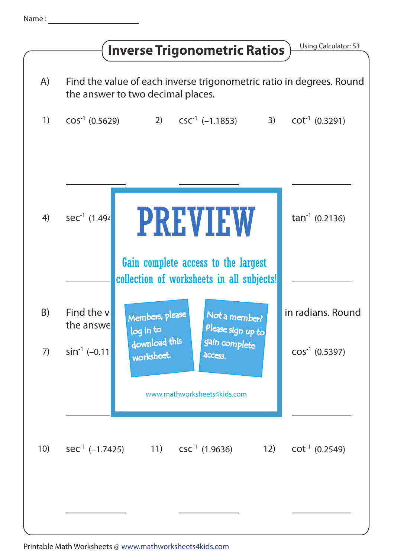